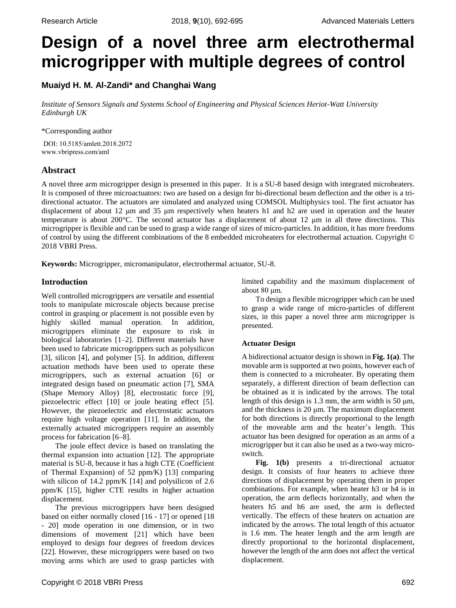# **Design of a novel three arm electrothermal microgripper with multiple degrees of control**

# **Muaiyd H. M. Al-Zandi\* and Changhai Wang**

*Institute of Sensors Signals and Systems School of Engineering and Physical Sciences Heriot-Watt University Edinburgh UK*

\*Corresponding author

DOI: 10.5185/amlett.2018.2072 www.vbripress.com/aml

# **Abstract**

A novel three arm microgripper design is presented in this paper. It is a SU-8 based design with integrated microheaters. It is composed of three microactuators: two are based on a design for bi-directional beam deflection and the other is a tridirectional actuator. The actuators are simulated and analyzed using COMSOL Multiphysics tool. The first actuator has displacement of about 12 μm and 35 μm respectively when heaters h1 and h2 are used in operation and the heater temperature is about 200°C. The second actuator has a displacement of about 12 μm in all three directions. This microgripper is flexible and can be used to grasp a wide range of sizes of micro-particles. In addition, it has more freedoms of control by using the different combinations of the 8 embedded microheaters for electrothermal actuation. Copyright © 2018 VBRI Press.

**Keywords:** Microgripper, micromanipulator, electrothermal actuator, SU-8.

## **Introduction**

Well controlled microgrippers are versatile and essential tools to manipulate microscale objects because precise control in grasping or placement is not possible even by highly skilled manual operation. In addition, microgrippers eliminate the exposure to risk in biological laboratories [1–2]. Different materials have been used to fabricate microgrippers such as polysilicon [3], silicon [4], and polymer [5]. In addition, different actuation methods have been used to operate these microgrippers, such as external actuation [6] or integrated design based on pneumatic action [7], SMA (Shape Memory Alloy) [8], electrostatic force [9], piezoelectric effect [10] or joule heating effect [5]. However, the piezoelectric and electrostatic actuators require high voltage operation [11]. In addition, the externally actuated microgrippers require an assembly process for fabrication [6–8].

The joule effect device is based on translating the thermal expansion into actuation [12]. The appropriate material is SU-8, because it has a high CTE (Coefficient of Thermal Expansion) of 52 ppm/K) [13] comparing with silicon of 14.2 ppm/K [14] and polysilicon of 2.6 ppm/K [15], higher CTE results in higher actuation displacement.

The previous microgrippers have been designed based on either normally closed [16 - 17] or opened [18 - 20] mode operation in one dimension, or in two dimensions of movement [21] which have been employed to design four degrees of freedom devices [22]. However, these microgrippers were based on two moving arms which are used to grasp particles with

limited capability and the maximum displacement of about 80 μm.

To design a flexible microgripper which can be used to grasp a wide range of micro-particles of different sizes, in this paper a novel three arm microgripper is presented.

## **Actuator Design**

A bidirectional actuator design isshown in **Fig. 1(a)**. The movable arm is supported at two points, however each of them is connected to a microheater. By operating them separately, a different direction of beam deflection can be obtained as it is indicated by the arrows. The total length of this design is 1.3 mm, the arm width is 50  $\mu$ m, and the thickness is 20 μm. The maximum displacement for both directions is directly proportional to the length of the moveable arm and the heater's length. This actuator has been designed for operation as an arms of a microgripper but it can also be used as a two-way microswitch.

**Fig. 1(b)** presents a tri-directional actuator design. It consists of four heaters to achieve three directions of displacement by operating them in proper combinations. For example, when heater h3 or h4 is in operation, the arm deflects horizontally, and when the heaters h5 and h6 are used, the arm is deflected vertically. The effects of these heaters on actuation are indicated by the arrows. The total length of this actuator is 1.6 mm. The heater length and the arm length are directly proportional to the horizontal displacement, however the length of the arm does not affect the vertical displacement.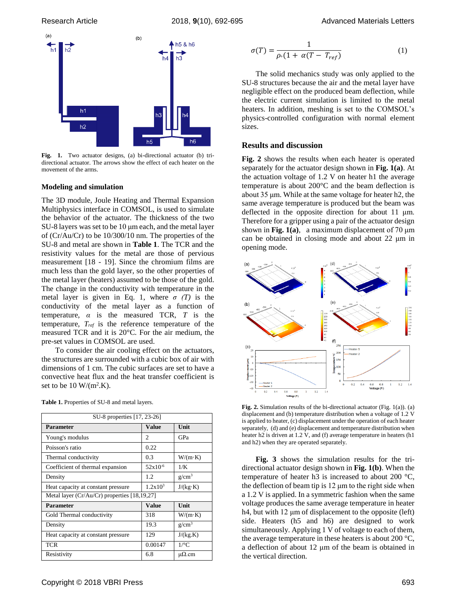

**Fig. 1.** Two actuator designs, (a) bi-directional actuator (b) tridirectional actuator. The arrows show the effect of each heater on the movement of the arms.

#### **Modeling and simulation**

The 3D module, Joule Heating and Thermal Expansion Multiphysics interface in COMSOL, is used to simulate the behavior of the actuator. The thickness of the two SU-8 layers was set to be 10 μm each, and the metal layer of (Cr/Au/Cr) to be 10/300/10 nm. The properties of the SU-8 and metal are shown in **Table 1**. The TCR and the resistivity values for the metal are those of pervious measurement [18 - 19]. Since the chromium films are much less than the gold layer, so the other properties of the metal layer (heaters) assumed to be those of the gold. The change in the conductivity with temperature in the metal layer is given in Eq. 1, where  $\sigma(T)$  is the conductivity of the metal layer as a function of temperature, *α* is the measured TCR, *T* is the temperature, *Tref* is the reference temperature of the measured TCR and it is 20°C. For the air medium, the pre-set values in COMSOL are used.

To consider the air cooling effect on the actuators, the structures are surrounded with a cubic box of air with dimensions of 1 cm. The cubic surfaces are set to have a convective heat flux and the heat transfer coefficient is set to be  $10 \text{ W/(m}^2 \text{K})$ .

| SU-8 properties [17, 23-26]                      |              |                 |
|--------------------------------------------------|--------------|-----------------|
| <b>Parameter</b>                                 | Value        | Unit            |
| Young's modulus                                  | 2            | GPa             |
| Poisson's ratio                                  | 0.22         |                 |
| Thermal conductivity                             | 0.3          | $W/(m \cdot K)$ |
| Coefficient of thermal expansion                 | $52x10^{-6}$ | 1/K             |
| Density                                          | 1.2          | $g/cm^3$        |
| Heat capacity at constant pressure               | $1.2x10^3$   | J/(kg·K)        |
| Metal layer ( $Cr/Au/Cr$ ) properties [18,19,27] |              |                 |
| <b>Parameter</b>                                 | Value        | Unit            |
| Gold Thermal conductivity                        | 318          | $W/(m \cdot K)$ |
| Density                                          | 19.3         | $g/cm^3$        |
| Heat capacity at constant pressure               | 129          | J/(kg.K)        |
| <b>TCR</b>                                       | 0.00147      | $1$ /°C         |
| Resistivity                                      | 6.8          | $\mu\Omega$ .cm |

**Table 1.** Properties of SU-8 and metal layers.

$$
\sigma(T) = \frac{1}{\rho \cdot (1 + \alpha (T - T_{ref})} \tag{1}
$$

The solid mechanics study was only applied to the SU-8 structures because the air and the metal layer have negligible effect on the produced beam deflection, while the electric current simulation is limited to the metal heaters. In addition, meshing is set to the COMSOL's physics-controlled configuration with normal element sizes.

## **Results and discussion**

**Fig. 2** shows the results when each heater is operated separately for the actuator design shown in **Fig. 1(a)**. At the actuation voltage of 1.2 V on heater h1 the average temperature is about 200°C and the beam deflection is about 35 μm. While at the same voltage for heater h2, the same average temperature is produced but the beam was deflected in the opposite direction for about 11 μm. Therefore for a gripper using a pair of the actuator design shown in **Fig. 1(a)**, a maximum displacement of 70  $\mu$ m can be obtained in closing mode and about 22 μm in opening mode.



**Fig. 2.** Simulation results of the bi-directional actuator (Fig. 1(a)). (a) displacement and (b) temperature distribution when a voltage of 1.2 V is applied to heater, (c) displacement under the operation of each heater separately, (d) and (e) displacement and temperature distribution when heater h2 is driven at 1.2 V, and (f) average temperature in heaters (h1 and h2) when they are operated separately.

**Fig. 3** shows the simulation results for the tridirectional actuator design shown in **Fig. 1(b)**. When the temperature of heater h3 is increased to about 200  $^{\circ}$ C, the deflection of beam tip is 12 μm to the right side when a 1.2 V is applied. In a symmetric fashion when the same voltage produces the same average temperature in heater h4, but with 12 μm of displacement to the opposite (left) side. Heaters (h5 and h6) are designed to work simultaneously. Applying 1 V of voltage to each of them, the average temperature in these heaters is about 200 °C, a deflection of about 12 μm of the beam is obtained in the vertical direction.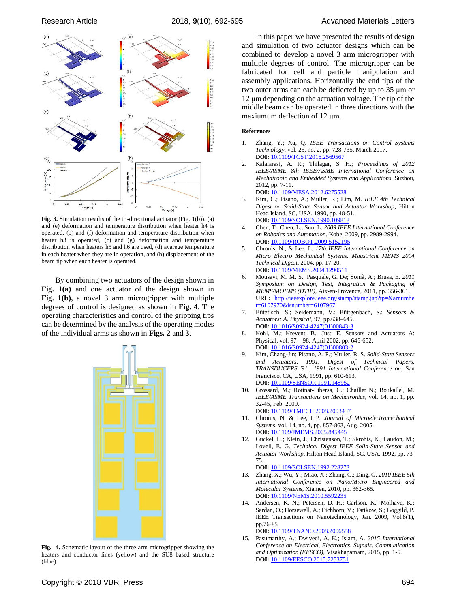



**Fig. 3.** Simulation results of the tri-directional actuator (Fig. 1(b)). (a) and (e) deformation and temperature distribution when heater h4 is operated, (b) and (f) deformation and temperature distribution when heater h3 is operated, (c) and (g) deformation and temperature distribution when heaters h5 and h6 are used, (d) avarege temperature in each heater when they are in operation, and (h) displacement of the beam tip when each heater is operated.

By combining two actuators of the design shown in **Fig. 1(a)** and one actuator of the design shown in **Fig. 1(b),** a novel 3 arm microgripper with multiple degrees of control is designed as shown in **Fig. 4**. The operating characteristics and control of the gripping tips can be determined by the analysis of the operating modes of the individual arms as shown in **Figs. 2** and **3**.



**Fig. 4.** Schematic layout of the three arm microgripper showing the heaters and conductor lines (yellow) and the SU8 based structure (blue).

In this paper we have presented the results of design and simulation of two actuator designs which can be combined to develop a novel 3 arm microgripper with multiple degrees of control. The microgripper can be fabricated for cell and particle manipulation and assembly applications. Horizontally the end tips of the two outer arms can each be deflected by up to 35 μm or 12 μm depending on the actuation voltage. The tip of the middle beam can be operated in three directions with the maxiumum deflection of 12 μm.

#### **References**

- 1. Zhang, Y.; Xu, Q. *IEEE Transactions on Control Systems Technology*, vol. 25, no. 2, pp. 728-735, March 2017. **DOI:** [10.1109/TCST.2016.2569567](https://doi.org/10.1109/TCST.2016.2569567)
- 2. Kalaiarasi, A. R.; Thilagar, S. H.; *Proceedings of 2012 IEEE/ASME 8th IEEE/ASME International Conference on Mechatronic and Embedded Systems and Applications*, Suzhou, 2012, pp. 7-11. **DOI:** [10.1109/MESA.2012.6275528](https://doi.org/10.1109/MESA.2012.6275528)
- 3. Kim, C.; Pisano, A.; Muller, R.; Lim, M. *IEEE 4th Technical Digest on Solid-State Sensor and Actuator Workshop*, Hilton Head Island, SC, USA, 1990, pp. 48-51. **DOI:** 10.1109/SOLSEN.1990.109818
- 4. Chen, T.; Chen, L.; Sun, L. *2009 IEEE International Conference on Robotics and Automation*, Kobe, 2009, pp. 2989-2994. **DOI:** 10.1109/ROBOT.2009.5152195
- 5. Chronis, N., & Lee, L. *17th IEEE International Conference on Micro Electro Mechanical Systems. Maastricht MEMS 2004 Technical Digest*, 2004, pp. 17-20. **DOI:** 10.1109/MEMS.2004.1290511
- 6. Mousavi, M. M. S.; Pasquale, G. De; Somà, A.; Brusa, E. *2011 Symposium on Design, Test, Integration & Packaging of MEMS/MOEMS (DTIP)*, Aix-en-Provence, 2011, pp. 356-361. **URL:** [http://ieeexplore.ieee.org/stamp/stamp.jsp?tp=&arnumbe](http://ieeexplore.ieee.org.ezproxy1.hw.ac.uk/stamp/stamp.jsp?tp=&arnumber=6107970&isnumber=6107967) [r=6107970&isnumber=6107967](http://ieeexplore.ieee.org.ezproxy1.hw.ac.uk/stamp/stamp.jsp?tp=&arnumber=6107970&isnumber=6107967)
- 7. Bütefisch, S.; Seidemann, V.; Büttgenbach, S.; *Sensors & Actuators: A. Physical*, 97, pp.638–645. **DOI:** [10.1016/S0924-4247\(01\)00843-3](https://doi.org/10.1016/S0924-4247(01)00843-3)
- 8. Kohl, M.; Krevent, B.; Just, E. Sensors and Actuators A: Physical, vol. 97 – 98, April 2002, pp. 646-652. **DOI:** 10.1016/S0924-4247(01)00803
- 9. Kim, Chang-Jin; Pisano, A. P.; Muller, R. S. *Solid-State Sensors and Actuators, 1991. Digest of Technical Papers, TRANSDUCERS '91., 1991 International Conference on*, San Francisco, CA, USA, 1991, pp. 610-613. **DOI:** 10.1109/SENSOR.1991.148952
- 10. Grossard, M.; Rotinat-Libersa, C.; Chaillet N.; Boukallel, M. *IEEE/ASME Transactions on Mechatronics*, vol. 14, no. 1, pp. 32-45, Feb. 2009. **DOI:** 10.1109/TMECH.2008.2003437
- 11. Chronis, N. & Lee, L.P. *Journal of Microelectromechanical Systems*, vol. 14, no. 4, pp. 857-863, Aug. 2005. **DOI:** 10.1109/JMEMS.2005.845445
- 12. Guckel, H.; Klein, J.; Christenson, T.; Skrobis, K.; Laudon, M.; Lovell, E. G. *Technical Digest IEEE Solid-State Sensor and Actuator Workshop*, Hilton Head Island, SC, USA, 1992, pp. 73- 75.

**DOI:** 10.1109/SOLSEN.1992.228273

- 13. Zhang, X.; Wu, Y.; Miao, X.; Zhang, C.; Ding, G. *2010 IEEE 5th International Conference on Nano/Micro Engineered and Molecular Systems*, Xiamen, 2010, pp. 362-365. **DOI:** 10.1109/NEMS.2010.559223
- 14. Andersen, K. N.; Petersen, D. H.; Carlson, K.; Molhave, K.; Sardan, O.; Horsewell, A.; Eichhorn, V.; Fatikow, S.; Boggild, P. IEEE Transactions on Nanotechnology, Jan. 2009, Vol.8(1), pp.76-85

**DOI:** [10.1109/TNANO.2008.2006558](https://doi.org/10.1109/TNANO.2008.2006558)

15. Pasumarthy, A.; Dwivedi, A. K.; Islam, A. *2015 International Conference on Electrical, Electronics, Signals, Communication and Optimization (EESCO)*, Visakhapatnam, 2015, pp. 1-5. **DOI:** [10.1109/EESCO.2015.7253751](https://doi.org/10.1109/EESCO.2015.7253751)